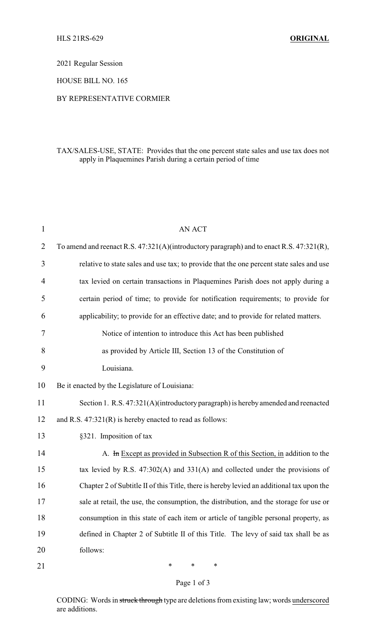2021 Regular Session

HOUSE BILL NO. 165

## BY REPRESENTATIVE CORMIER

## TAX/SALES-USE, STATE: Provides that the one percent state sales and use tax does not apply in Plaquemines Parish during a certain period of time

| 1              | <b>AN ACT</b>                                                                             |
|----------------|-------------------------------------------------------------------------------------------|
| $\overline{2}$ | To amend and reenact R.S. 47:321(A)(introductory paragraph) and to enact R.S. 47:321(R),  |
| 3              | relative to state sales and use tax; to provide that the one percent state sales and use  |
| 4              | tax levied on certain transactions in Plaquemines Parish does not apply during a          |
| 5              | certain period of time; to provide for notification requirements; to provide for          |
| 6              | applicability; to provide for an effective date; and to provide for related matters.      |
| 7              | Notice of intention to introduce this Act has been published                              |
| 8              | as provided by Article III, Section 13 of the Constitution of                             |
| 9              | Louisiana.                                                                                |
| 10             | Be it enacted by the Legislature of Louisiana:                                            |
| 11             | Section 1. R.S. 47:321(A)(introductory paragraph) is hereby amended and reenacted         |
| 12             | and R.S. 47:321(R) is hereby enacted to read as follows:                                  |
| 13             | §321. Imposition of tax                                                                   |
| 14             | A. In Except as provided in Subsection R of this Section, in addition to the              |
| 15             | tax levied by R.S. $47:302(A)$ and $331(A)$ and collected under the provisions of         |
| 16             | Chapter 2 of Subtitle II of this Title, there is hereby levied an additional tax upon the |
| 17             | sale at retail, the use, the consumption, the distribution, and the storage for use or    |
| 18             | consumption in this state of each item or article of tangible personal property, as       |
| 19             | defined in Chapter 2 of Subtitle II of this Title. The levy of said tax shall be as       |
| 20             | follows:                                                                                  |
| 21             | ∗<br>∗<br>∗                                                                               |

## Page 1 of 3

CODING: Words in struck through type are deletions from existing law; words underscored are additions.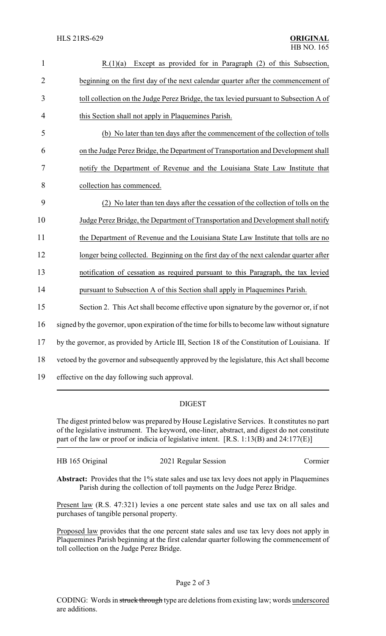| $\mathbf{1}$   | $R(1)(a)$ Except as provided for in Paragraph (2) of this Subsection,                         |
|----------------|-----------------------------------------------------------------------------------------------|
| $\overline{2}$ | beginning on the first day of the next calendar quarter after the commencement of             |
| 3              | toll collection on the Judge Perez Bridge, the tax levied pursuant to Subsection A of         |
| 4              | this Section shall not apply in Plaquemines Parish.                                           |
| 5              | (b) No later than ten days after the commencement of the collection of tolls                  |
| 6              | on the Judge Perez Bridge, the Department of Transportation and Development shall             |
| 7              | notify the Department of Revenue and the Louisiana State Law Institute that                   |
| 8              | collection has commenced.                                                                     |
| 9              | (2) No later than ten days after the cessation of the collection of tolls on the              |
| 10             | Judge Perez Bridge, the Department of Transportation and Development shall notify             |
| 11             | the Department of Revenue and the Louisiana State Law Institute that tolls are no             |
| 12             | longer being collected. Beginning on the first day of the next calendar quarter after         |
| 13             | notification of cessation as required pursuant to this Paragraph, the tax levied              |
| 14             | pursuant to Subsection A of this Section shall apply in Plaquemines Parish.                   |
| 15             | Section 2. This Act shall become effective upon signature by the governor or, if not          |
| 16             | signed by the governor, upon expiration of the time for bills to become law without signature |
| 17             | by the governor, as provided by Article III, Section 18 of the Constitution of Louisiana. If  |
| 18             | vetoed by the governor and subsequently approved by the legislature, this Act shall become    |
| 19             | effective on the day following such approval.                                                 |

## DIGEST

The digest printed below was prepared by House Legislative Services. It constitutes no part of the legislative instrument. The keyword, one-liner, abstract, and digest do not constitute part of the law or proof or indicia of legislative intent. [R.S. 1:13(B) and 24:177(E)]

| HB 165 Original | 2021 Regular Session | Cormier |
|-----------------|----------------------|---------|
|                 |                      |         |

Abstract: Provides that the 1% state sales and use tax levy does not apply in Plaquemines Parish during the collection of toll payments on the Judge Perez Bridge.

Present law (R.S. 47:321) levies a one percent state sales and use tax on all sales and purchases of tangible personal property.

Proposed law provides that the one percent state sales and use tax levy does not apply in Plaquemines Parish beginning at the first calendar quarter following the commencement of toll collection on the Judge Perez Bridge.